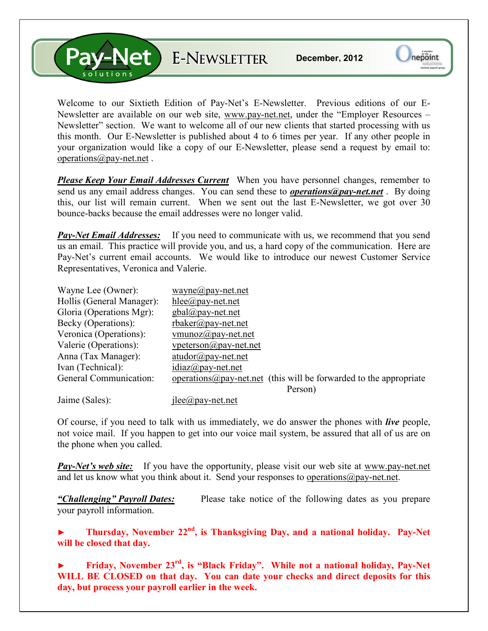**Pav-Net** E-NEWSLETTER

Welcome to our Sixtieth Edition of Pay-Net's E-Newsletter. Previous editions of our E-Newsletter are available on our web site, www.pay-net.net, under the "Employer Resources – Newsletter" section. We want to welcome all of our new clients that started processing with us this month. Our E-Newsletter is published about 4 to 6 times per year. If any other people in your organization would like a copy of our E-Newsletter, please send a request by email to: operations@pay-net.net .

*Please Keep Your Email Addresses Current* When you have personnel changes, remember to send us any email address changes. You can send these to *operations@pay-net.net* . By doing this, our list will remain current. When we sent out the last E-Newsletter, we got over 30 bounce-backs because the email addresses were no longer valid.

*Pay-Net Email Addresses:* If you need to communicate with us, we recommend that you send us an email. This practice will provide you, and us, a hard copy of the communication. Here are Pay-Net's current email accounts. We would like to introduce our newest Customer Service Representatives, Veronica and Valerie.

| Wayne Lee (Owner):        | wayne@pay-net.net                                                          |
|---------------------------|----------------------------------------------------------------------------|
| Hollis (General Manager): | hlee@pay-net.net                                                           |
| Gloria (Operations Mgr):  | $gbal(\partial_t)$ pay-net.net                                             |
| Becky (Operations):       | $r$ baker@pay-net.net                                                      |
| Veronica (Operations):    | vmunoz $\omega$ pay-net.net                                                |
| Valerie (Operations):     | $v$ peterson $\omega$ pay-net.net                                          |
| Anna (Tax Manager):       | $atudor@pay-net.net$                                                       |
| Ivan (Technical):         | $idiaz(\partial p$ ay-net.net                                              |
| General Communication:    | operations $\omega$ pay-net net (this will be forwarded to the appropriate |
|                           | Person)                                                                    |
| Jaime (Sales):            | $i$ lee $\omega$ pay-net.net                                               |

Of course, if you need to talk with us immediately, we do answer the phones with *live* people, not voice mail. If you happen to get into our voice mail system, be assured that all of us are on the phone when you called.

**Pay-Net's web site:** If you have the opportunity, please visit our web site at www.pay-net.net and let us know what you think about it. Send your responses to operations  $\omega$  pay-net.net.

*"Challenging" Payroll Dates:* Please take notice of the following dates as you prepare your payroll information.

**► Thursday, November 22nd, is Thanksgiving Day, and a national holiday. Pay-Net will be closed that day.** 

**► Friday, November 23rd, is "Black Friday". While not a national holiday, Pay-Net WILL BE CLOSED on that day. You can date your checks and direct deposits for this day, but process your payroll earlier in the week.**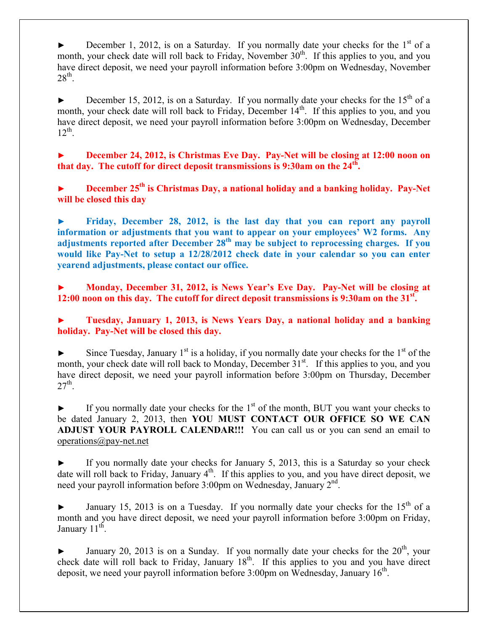► December 1, 2012, is on a Saturday. If you normally date your checks for the  $1<sup>st</sup>$  of a month, your check date will roll back to Friday, November  $30<sup>th</sup>$ . If this applies to you, and you have direct deposit, we need your payroll information before 3:00pm on Wednesday, November  $28<sup>th</sup>$ .

► December 15, 2012, is on a Saturday. If you normally date your checks for the 15<sup>th</sup> of a month, your check date will roll back to Friday, December  $14<sup>th</sup>$ . If this applies to you, and you have direct deposit, we need your payroll information before 3:00pm on Wednesday, December  $12^{th}$ .

► **December 24, 2012, is Christmas Eve Day. Pay-Net will be closing at 12:00 noon on that day. The cutoff for direct deposit transmissions is 9:30am on the 24th .**

**► December 25th is Christmas Day, a national holiday and a banking holiday. Pay-Net will be closed this day** 

**► Friday, December 28, 2012, is the last day that you can report any payroll information or adjustments that you want to appear on your employees' W2 forms. Any adjustments reported after December 28th may be subject to reprocessing charges. If you would like Pay-Net to setup a 12/28/2012 check date in your calendar so you can enter yearend adjustments, please contact our office.** 

**► Monday, December 31, 2012, is News Year's Eve Day. Pay-Net will be closing at 12:00 noon on this day. The cutoff for direct deposit transmissions is 9:30am on the 31st .** 

**► Tuesday, January 1, 2013, is News Years Day, a national holiday and a banking holiday. Pay-Net will be closed this day.** 

Since Tuesday, January  $1<sup>st</sup>$  is a holiday, if you normally date your checks for the  $1<sup>st</sup>$  of the month, your check date will roll back to Monday, December  $31<sup>st</sup>$ . If this applies to you, and you have direct deposit, we need your payroll information before 3:00pm on Thursday, December  $27<sup>th</sup>$ .

 $\blacktriangleright$  If you normally date your checks for the 1<sup>st</sup> of the month, BUT you want your checks to be dated January 2, 2013, then **YOU MUST CONTACT OUR OFFICE SO WE CAN ADJUST YOUR PAYROLL CALENDAR!!!** You can call us or you can send an email to operations@pay-net.net

If you normally date your checks for January 5, 2013, this is a Saturday so your check date will roll back to Friday, January  $4<sup>th</sup>$ . If this applies to you, and you have direct deposit, we need your payroll information before 3:00pm on Wednesday, January 2<sup>nd</sup>.

January 15, 2013 is on a Tuesday. If you normally date your checks for the  $15<sup>th</sup>$  of a month and you have direct deposit, we need your payroll information before 3:00pm on Friday, January 11<sup>th</sup>.

January 20, 2013 is on a Sunday. If you normally date your checks for the  $20<sup>th</sup>$ , your check date will roll back to Friday, January 18<sup>th</sup>. If this applies to you and you have direct deposit, we need your payroll information before 3:00pm on Wednesday, January 16<sup>th</sup>.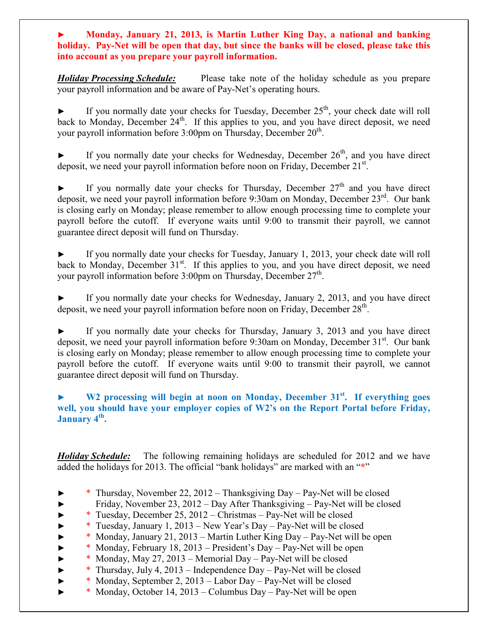**► Monday, January 21, 2013, is Martin Luther King Day, a national and banking holiday. Pay-Net will be open that day, but since the banks will be closed, please take this into account as you prepare your payroll information.** 

*Holiday Processing Schedule:* Please take note of the holiday schedule as you prepare your payroll information and be aware of Pay-Net's operating hours.

If you normally date your checks for Tuesday, December  $25<sup>th</sup>$ , your check date will roll back to Monday, December 24<sup>th</sup>. If this applies to you, and you have direct deposit, we need your payroll information before 3:00pm on Thursday, December 20<sup>th</sup>.

If you normally date your checks for Wednesday, December  $26<sup>th</sup>$ , and you have direct deposit, we need your payroll information before noon on Friday, December 21<sup>st</sup>.

If you normally date your checks for Thursday, December  $27<sup>th</sup>$  and you have direct deposit, we need your payroll information before 9:30am on Monday, December  $23^{\text{rd}}$ . Our bank is closing early on Monday; please remember to allow enough processing time to complete your payroll before the cutoff. If everyone waits until 9:00 to transmit their payroll, we cannot guarantee direct deposit will fund on Thursday.

If you normally date your checks for Tuesday, January 1, 2013, your check date will roll back to Monday, December  $31<sup>st</sup>$ . If this applies to you, and you have direct deposit, we need your payroll information before  $3:00 \text{pm}$  on Thursday, December  $27^{\text{th}}$ .

If you normally date your checks for Wednesday, January 2, 2013, and you have direct deposit, we need your payroll information before noon on Friday, December 28<sup>th</sup>.

If you normally date your checks for Thursday, January 3, 2013 and you have direct deposit, we need your payroll information before 9:30am on Monday, December  $31<sup>st</sup>$ . Our bank is closing early on Monday; please remember to allow enough processing time to complete your payroll before the cutoff. If everyone waits until 9:00 to transmit their payroll, we cannot guarantee direct deposit will fund on Thursday.

## **► W2 processing will begin at noon on Monday, December 31st. If everything goes well, you should have your employer copies of W2's on the Report Portal before Friday, January 4th .**

*Holiday Schedule:* The following remaining holidays are scheduled for 2012 and we have added the holidays for 2013. The official "bank holidays" are marked with an "**\***"

- ► \* Thursday, November 22, 2012 Thanksgiving Day Pay-Net will be closed
- ► Friday, November 23, 2012 Day After Thanksgiving Pay-Net will be closed
- ► \* Tuesday, December 25, 2012 Christmas Pay-Net will be closed
- ► \* Tuesday, January 1, 2013 New Year's Day Pay-Net will be closed
- ► \* Monday, January 21, 2013 Martin Luther King Day Pay-Net will be open
- ► \* Monday, February 18, 2013 President's Day Pay-Net will be open
- \* Monday, May 27, 2013 Memorial Day Pay-Net will be closed
- ► \* Thursday, July 4, 2013 Independence Day Pay-Net will be closed
- ► \* Monday, September 2, 2013 Labor Day Pay-Net will be closed
- $*$  Monday, October 14, 2013 Columbus Day Pay-Net will be open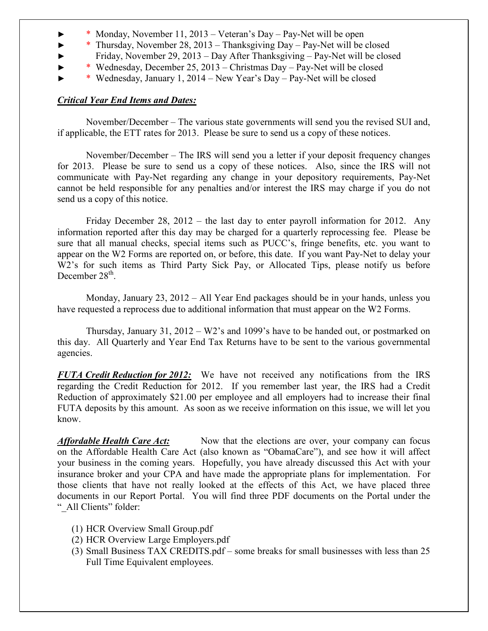- ► \* Monday, November 11, 2013 Veteran's Day Pay-Net will be open
- ► \* Thursday, November 28, 2013 Thanksgiving Day Pay-Net will be closed
- ► Friday, November 29, 2013 Day After Thanksgiving Pay-Net will be closed
- ► \* Wednesday, December 25, 2013 Christmas Day Pay-Net will be closed
- ► \* Wednesday, January 1, 2014 New Year's Day Pay-Net will be closed

## *Critical Year End Items and Dates:*

 November/December – The various state governments will send you the revised SUI and, if applicable, the ETT rates for 2013. Please be sure to send us a copy of these notices.

 November/December – The IRS will send you a letter if your deposit frequency changes for 2013. Please be sure to send us a copy of these notices. Also, since the IRS will not communicate with Pay-Net regarding any change in your depository requirements, Pay-Net cannot be held responsible for any penalties and/or interest the IRS may charge if you do not send us a copy of this notice.

 Friday December 28, 2012 – the last day to enter payroll information for 2012. Any information reported after this day may be charged for a quarterly reprocessing fee. Please be sure that all manual checks, special items such as PUCC's, fringe benefits, etc. you want to appear on the W2 Forms are reported on, or before, this date. If you want Pay-Net to delay your W<sub>2</sub>'s for such items as Third Party Sick Pay, or Allocated Tips, please notify us before December 28<sup>th</sup>.

 Monday, January 23, 2012 – All Year End packages should be in your hands, unless you have requested a reprocess due to additional information that must appear on the W2 Forms.

 Thursday, January 31, 2012 – W2's and 1099's have to be handed out, or postmarked on this day. All Quarterly and Year End Tax Returns have to be sent to the various governmental agencies.

*FUTA Credit Reduction for 2012:* We have not received any notifications from the IRS regarding the Credit Reduction for 2012. If you remember last year, the IRS had a Credit Reduction of approximately \$21.00 per employee and all employers had to increase their final FUTA deposits by this amount. As soon as we receive information on this issue, we will let you know.

**Affordable Health Care Act:** Now that the elections are over, your company can focus on the Affordable Health Care Act (also known as "ObamaCare"), and see how it will affect your business in the coming years. Hopefully, you have already discussed this Act with your insurance broker and your CPA and have made the appropriate plans for implementation. For those clients that have not really looked at the effects of this Act, we have placed three documents in our Report Portal. You will find three PDF documents on the Portal under the " All Clients" folder:

- (1) HCR Overview Small Group.pdf
- (2) HCR Overview Large Employers.pdf
- (3) Small Business TAX CREDITS.pdf some breaks for small businesses with less than 25 Full Time Equivalent employees.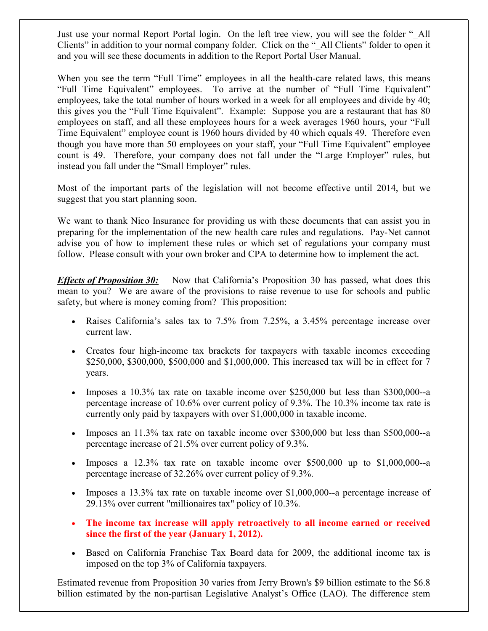Just use your normal Report Portal login. On the left tree view, you will see the folder " All Clients" in addition to your normal company folder. Click on the " All Clients" folder to open it and you will see these documents in addition to the Report Portal User Manual.

When you see the term "Full Time" employees in all the health-care related laws, this means "Full Time Equivalent" employees. To arrive at the number of "Full Time Equivalent" employees, take the total number of hours worked in a week for all employees and divide by 40; this gives you the "Full Time Equivalent". Example: Suppose you are a restaurant that has 80 employees on staff, and all these employees hours for a week averages 1960 hours, your "Full Time Equivalent" employee count is 1960 hours divided by 40 which equals 49. Therefore even though you have more than 50 employees on your staff, your "Full Time Equivalent" employee count is 49. Therefore, your company does not fall under the "Large Employer" rules, but instead you fall under the "Small Employer" rules.

Most of the important parts of the legislation will not become effective until 2014, but we suggest that you start planning soon.

We want to thank Nico Insurance for providing us with these documents that can assist you in preparing for the implementation of the new health care rules and regulations. Pay-Net cannot advise you of how to implement these rules or which set of regulations your company must follow. Please consult with your own broker and CPA to determine how to implement the act.

*Effects of Proposition 30:* Now that California's Proposition 30 has passed, what does this mean to you? We are aware of the provisions to raise revenue to use for schools and public safety, but where is money coming from? This proposition:

- Raises California's sales tax to 7.5% from 7.25%, a 3.45% percentage increase over current law.
- Creates four high-income tax brackets for taxpayers with taxable incomes exceeding \$250,000, \$300,000, \$500,000 and \$1,000,000. This increased tax will be in effect for 7 years.
- Imposes a 10.3% tax rate on taxable income over \$250,000 but less than \$300,000--a percentage increase of 10.6% over current policy of 9.3%. The 10.3% income tax rate is currently only paid by taxpayers with over \$1,000,000 in taxable income.
- Imposes an 11.3% tax rate on taxable income over \$300,000 but less than \$500,000--a percentage increase of 21.5% over current policy of 9.3%.
- Imposes a 12.3% tax rate on taxable income over \$500,000 up to \$1,000,000--a percentage increase of 32.26% over current policy of 9.3%.
- Imposes a 13.3% tax rate on taxable income over \$1,000,000--a percentage increase of 29.13% over current "millionaires tax" policy of 10.3%.
- **The income tax increase will apply retroactively to all income earned or received since the first of the year (January 1, 2012).**
- Based on California Franchise Tax Board data for 2009, the additional income tax is imposed on the top 3% of California taxpayers.

Estimated revenue from Proposition 30 varies from Jerry Brown's \$9 billion estimate to the \$6.8 billion estimated by the non-partisan Legislative Analyst's Office (LAO). The difference stem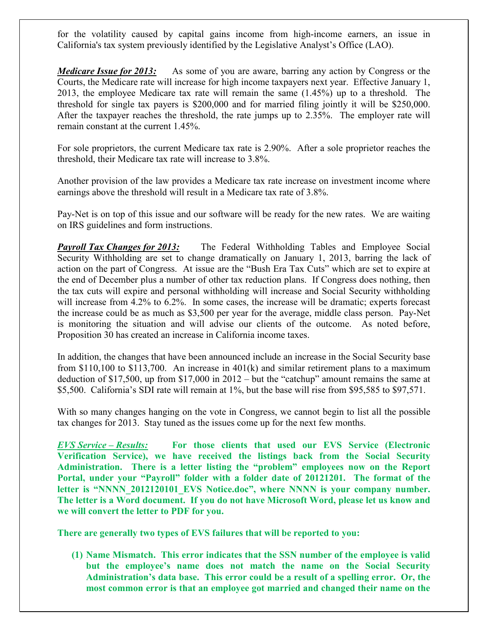for the volatility caused by capital gains income from high-income earners, an issue in California's tax system previously identified by the Legislative Analyst's Office (LAO).

*Medicare Issue for 2013:* As some of you are aware, barring any action by Congress or the Courts, the Medicare rate will increase for high income taxpayers next year. Effective January 1, 2013, the employee Medicare tax rate will remain the same (1.45%) up to a threshold. The threshold for single tax payers is \$200,000 and for married filing jointly it will be \$250,000. After the taxpayer reaches the threshold, the rate jumps up to 2.35%. The employer rate will remain constant at the current 1.45%.

For sole proprietors, the current Medicare tax rate is 2.90%. After a sole proprietor reaches the threshold, their Medicare tax rate will increase to 3.8%.

Another provision of the law provides a Medicare tax rate increase on investment income where earnings above the threshold will result in a Medicare tax rate of 3.8%.

Pay-Net is on top of this issue and our software will be ready for the new rates. We are waiting on IRS guidelines and form instructions.

**Payroll Tax Changes for 2013:** The Federal Withholding Tables and Employee Social Security Withholding are set to change dramatically on January 1, 2013, barring the lack of action on the part of Congress. At issue are the "Bush Era Tax Cuts" which are set to expire at the end of December plus a number of other tax reduction plans. If Congress does nothing, then the tax cuts will expire and personal withholding will increase and Social Security withholding will increase from 4.2% to 6.2%. In some cases, the increase will be dramatic; experts forecast the increase could be as much as \$3,500 per year for the average, middle class person. Pay-Net is monitoring the situation and will advise our clients of the outcome. As noted before, Proposition 30 has created an increase in California income taxes.

In addition, the changes that have been announced include an increase in the Social Security base from \$110,100 to \$113,700. An increase in 401(k) and similar retirement plans to a maximum deduction of \$17,500, up from \$17,000 in 2012 – but the "catchup" amount remains the same at \$5,500. California's SDI rate will remain at 1%, but the base will rise from \$95,585 to \$97,571.

With so many changes hanging on the vote in Congress, we cannot begin to list all the possible tax changes for 2013. Stay tuned as the issues come up for the next few months.

*EVS Service – Results:* **For those clients that used our EVS Service (Electronic Verification Service), we have received the listings back from the Social Security Administration. There is a letter listing the "problem" employees now on the Report Portal, under your "Payroll" folder with a folder date of 20121201. The format of the**  letter is "NNNN 2012120101 EVS Notice.doc", where NNNN is your company number. **The letter is a Word document. If you do not have Microsoft Word, please let us know and we will convert the letter to PDF for you.** 

**There are generally two types of EVS failures that will be reported to you:** 

**(1) Name Mismatch. This error indicates that the SSN number of the employee is valid but the employee's name does not match the name on the Social Security Administration's data base. This error could be a result of a spelling error. Or, the most common error is that an employee got married and changed their name on the**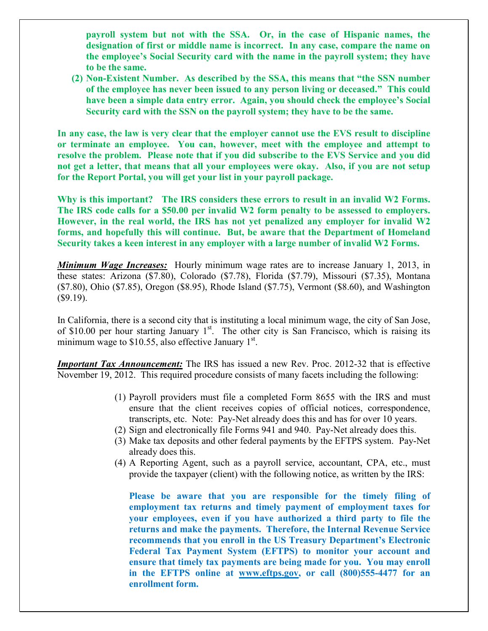**payroll system but not with the SSA. Or, in the case of Hispanic names, the designation of first or middle name is incorrect. In any case, compare the name on the employee's Social Security card with the name in the payroll system; they have to be the same.** 

**(2) Non-Existent Number. As described by the SSA, this means that "the SSN number of the employee has never been issued to any person living or deceased." This could have been a simple data entry error. Again, you should check the employee's Social Security card with the SSN on the payroll system; they have to be the same.** 

**In any case, the law is very clear that the employer cannot use the EVS result to discipline or terminate an employee. You can, however, meet with the employee and attempt to resolve the problem. Please note that if you did subscribe to the EVS Service and you did not get a letter, that means that all your employees were okay. Also, if you are not setup for the Report Portal, you will get your list in your payroll package.** 

**Why is this important? The IRS considers these errors to result in an invalid W2 Forms. The IRS code calls for a \$50.00 per invalid W2 form penalty to be assessed to employers. However, in the real world, the IRS has not yet penalized any employer for invalid W2 forms, and hopefully this will continue. But, be aware that the Department of Homeland Security takes a keen interest in any employer with a large number of invalid W2 Forms.** 

*Minimum Wage Increases:* Hourly minimum wage rates are to increase January 1, 2013, in these states: Arizona (\$7.80), Colorado (\$7.78), Florida (\$7.79), Missouri (\$7.35), Montana (\$7.80), Ohio (\$7.85), Oregon (\$8.95), Rhode Island (\$7.75), Vermont (\$8.60), and Washington  $$9.19$ ).

In California, there is a second city that is instituting a local minimum wage, the city of San Jose, of \$10.00 per hour starting January  $1<sup>st</sup>$ . The other city is San Francisco, which is raising its minimum wage to  $$10.55$ , also effective January  $1<sup>st</sup>$ .

*Important Tax Announcement:* The IRS has issued a new Rev. Proc. 2012-32 that is effective November 19, 2012. This required procedure consists of many facets including the following:

- (1) Payroll providers must file a completed Form 8655 with the IRS and must ensure that the client receives copies of official notices, correspondence, transcripts, etc. Note: Pay-Net already does this and has for over 10 years.
- (2) Sign and electronically file Forms 941 and 940. Pay-Net already does this.
- (3) Make tax deposits and other federal payments by the EFTPS system. Pay-Net already does this.
- (4) A Reporting Agent, such as a payroll service, accountant, CPA, etc., must provide the taxpayer (client) with the following notice, as written by the IRS:

**Please be aware that you are responsible for the timely filing of employment tax returns and timely payment of employment taxes for your employees, even if you have authorized a third party to file the returns and make the payments. Therefore, the Internal Revenue Service recommends that you enroll in the US Treasury Department's Electronic Federal Tax Payment System (EFTPS) to monitor your account and ensure that timely tax payments are being made for you. You may enroll in the EFTPS online at www.eftps.gov, or call (800)555-4477 for an enrollment form.**